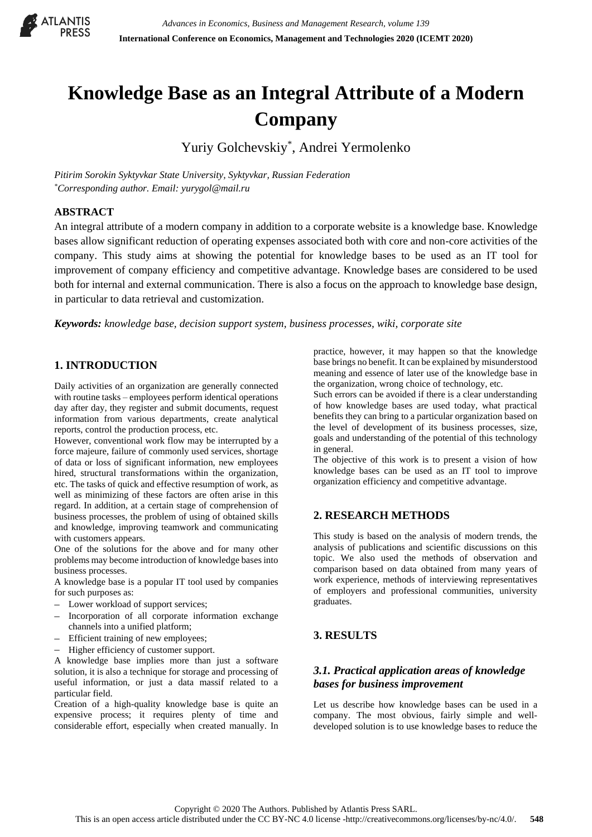

# **Knowledge Base as an Integral Attribute of a Modern Company**

Yuriy Golchevskiy\* , Andrei Yermolenko

*Pitirim Sorokin Syktyvkar State University, Syktyvkar, Russian Federation \*Corresponding author. Email: yurygol@mail.ru*

#### **ABSTRACT**

An integral attribute of a modern company in addition to a corporate website is a knowledge base. Knowledge bases allow significant reduction of operating expenses associated both with core and non-core activities of the company. This study aims at showing the potential for knowledge bases to be used as an IT tool for improvement of company efficiency and competitive advantage. Knowledge bases are considered to be used both for internal and external communication. There is also a focus on the approach to knowledge base design, in particular to data retrieval and customization.

*Keywords: knowledge base, decision support system, business processes, wiki, corporate site* 

## **1. INTRODUCTION**

Daily activities of an organization are generally connected with routine tasks – employees perform identical operations day after day, they register and submit documents, request information from various departments, create analytical reports, control the production process, etc.

However, conventional work flow may be interrupted by a force majeure, failure of commonly used services, shortage of data or loss of significant information, new employees hired, structural transformations within the organization, etc. The tasks of quick and effective resumption of work, as well as minimizing of these factors are often arise in this regard. In addition, at a certain stage of comprehension of business processes, the problem of using of obtained skills and knowledge, improving teamwork and communicating with customers appears.

One of the solutions for the above and for many other problems may become introduction of knowledge bases into business processes.

A knowledge base is a popular IT tool used by companies for such purposes as:

- Lower workload of support services;
- Incorporation of all corporate information exchange channels into a unified platform;
- Efficient training of new employees;
- Higher efficiency of customer support.

A knowledge base implies more than just a software solution, it is also a technique for storage and processing of useful information, or just a data massif related to a particular field.

Creation of a high-quality knowledge base is quite an expensive process; it requires plenty of time and considerable effort, especially when created manually. In

practice, however, it may happen so that the knowledge base brings no benefit. It can be explained by misunderstood meaning and essence of later use of the knowledge base in the organization, wrong choice of technology, etc.

Such errors can be avoided if there is a clear understanding of how knowledge bases are used today, what practical benefits they can bring to a particular organization based on the level of development of its business processes, size, goals and understanding of the potential of this technology in general.

The objective of this work is to present a vision of how knowledge bases can be used as an IT tool to improve organization efficiency and competitive advantage.

## **2. RESEARCH METHODS**

This study is based on the analysis of modern trends, the analysis of publications and scientific discussions on this topic. We also used the methods of observation and comparison based on data obtained from many years of work experience, methods of interviewing representatives of employers and professional communities, university graduates.

## **3. RESULTS**

## *3.1. Practical application areas of knowledge bases for business improvement*

Let us describe how knowledge bases can be used in a company. The most obvious, fairly simple and welldeveloped solution is to use knowledge bases to reduce the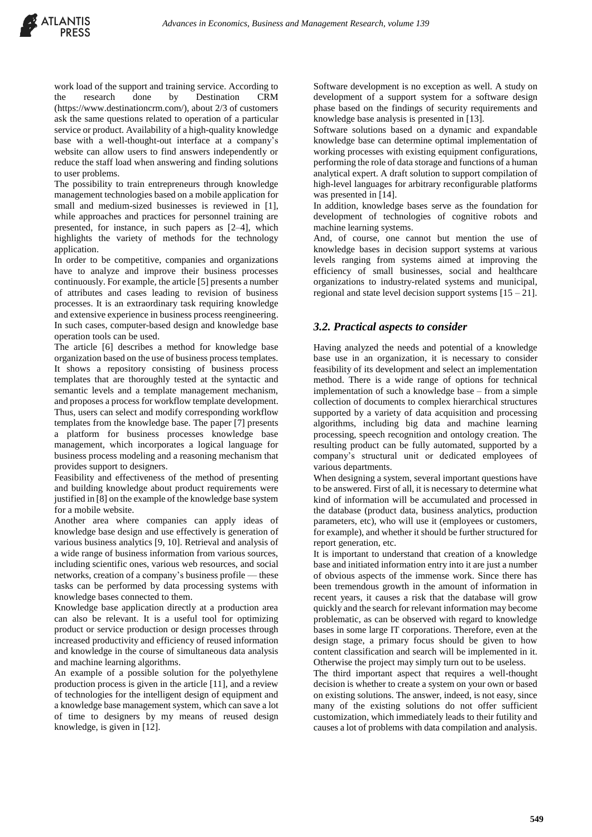work load of the support and training service. According to the research done by Destination CRM (https://www.destinationcrm.com/), about 2/3 of customers ask the same questions related to operation of a particular service or product. Availability of a high-quality knowledge base with a well-thought-out interface at a company's website can allow users to find answers independently or reduce the staff load when answering and finding solutions to user problems.

The possibility to train entrepreneurs through knowledge management technologies based on a mobile application for small and medium-sized businesses is reviewed in [1], while approaches and practices for personnel training are presented, for instance, in such papers as [2–4], which highlights the variety of methods for the technology application.

In order to be competitive, companies and organizations have to analyze and improve their business processes continuously. For example, the article [5] presents a number of attributes and cases leading to revision of business processes. It is an extraordinary task requiring knowledge and extensive experience in business process reengineering. In such cases, computer-based design and knowledge base operation tools can be used.

The article [6] describes a method for knowledge base organization based on the use of business process templates. It shows a repository consisting of business process templates that are thoroughly tested at the syntactic and semantic levels and a template management mechanism, and proposes a process for workflow template development. Thus, users can select and modify corresponding workflow templates from the knowledge base. The paper [7] presents a platform for business processes knowledge base management, which incorporates a logical language for business process modeling and a reasoning mechanism that provides support to designers.

Feasibility and effectiveness of the method of presenting and building knowledge about product requirements were justified in [8] on the example of the knowledge base system for a mobile website.

Another area where companies can apply ideas of knowledge base design and use effectively is generation of various business analytics [9, 10]. Retrieval and analysis of a wide range of business information from various sources, including scientific ones, various web resources, and social networks, creation of a company's business profile — these tasks can be performed by data processing systems with knowledge bases connected to them.

Knowledge base application directly at a production area can also be relevant. It is a useful tool for optimizing product or service production or design processes through increased productivity and efficiency of reused information and knowledge in the course of simultaneous data analysis and machine learning algorithms.

An example of a possible solution for the polyethylene production process is given in the article [11], and a review of technologies for the intelligent design of equipment and a knowledge base management system, which can save a lot of time to designers by my means of reused design knowledge, is given in [12].

Software development is no exception as well. A study on development of a support system for a software design phase based on the findings of security requirements and knowledge base analysis is presented in [13].

Software solutions based on a dynamic and expandable knowledge base can determine optimal implementation of working processes with existing equipment configurations, performing the role of data storage and functions of a human analytical expert. A draft solution to support compilation of high-level languages for arbitrary reconfigurable platforms was presented in [14].

In addition, knowledge bases serve as the foundation for development of technologies of cognitive robots and machine learning systems.

And, of course, one cannot but mention the use of knowledge bases in decision support systems at various levels ranging from systems aimed at improving the efficiency of small businesses, social and healthcare organizations to industry-related systems and municipal, regional and state level decision support systems  $[15 - 21]$ .

#### *3.2. Practical aspects to consider*

Having analyzed the needs and potential of a knowledge base use in an organization, it is necessary to consider feasibility of its development and select an implementation method. There is a wide range of options for technical implementation of such a knowledge base – from a simple collection of documents to complex hierarchical structures supported by a variety of data acquisition and processing algorithms, including big data and machine learning processing, speech recognition and ontology creation. The resulting product can be fully automated, supported by a company's structural unit or dedicated employees of various departments.

When designing a system, several important questions have to be answered. First of all, it is necessary to determine what kind of information will be accumulated and processed in the database (product data, business analytics, production parameters, etc), who will use it (employees or customers, for example), and whether it should be further structured for report generation, etc.

It is important to understand that creation of a knowledge base and initiated information entry into it are just a number of obvious aspects of the immense work. Since there has been tremendous growth in the amount of information in recent years, it causes a risk that the database will grow quickly and the search for relevant information may become problematic, as can be observed with regard to knowledge bases in some large IT corporations. Therefore, even at the design stage, a primary focus should be given to how content classification and search will be implemented in it. Otherwise the project may simply turn out to be useless.

The third important aspect that requires a well-thought decision is whether to create a system on your own or based on existing solutions. The answer, indeed, is not easy, since many of the existing solutions do not offer sufficient customization, which immediately leads to their futility and causes a lot of problems with data compilation and analysis.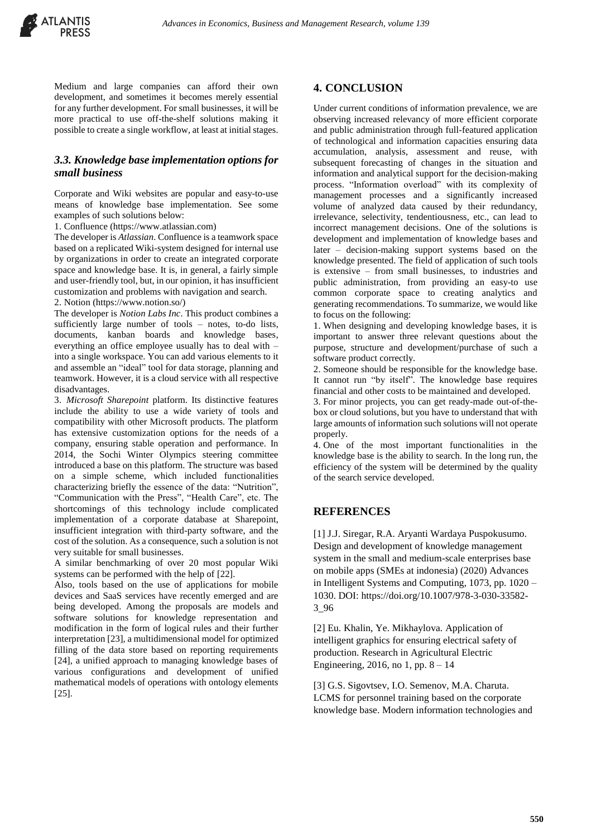Medium and large companies can afford their own development, and sometimes it becomes merely essential for any further development. For small businesses, it will be more practical to use off-the-shelf solutions making it possible to create a single workflow, at least at initial stages.

#### *3.3. Knowledge base implementation options for small business*

Corporate and Wiki websites are popular and easy-to-use means of knowledge base implementation. See some examples of such solutions below:

1. Confluence (https://www.atlassian.com)

The developer is *Atlassian*. Confluence is a teamwork space based on a replicated Wiki-system designed for internal use by organizations in order to create an integrated corporate space and knowledge base. It is, in general, a fairly simple and user-friendly tool, but, in our opinion, it has insufficient customization and problems with navigation and search.

2. Notion (https://www.notion.so/)

The developer is *Notion Labs Inc*. This product combines a sufficiently large number of tools – notes, to-do lists, documents, kanban boards and knowledge bases, everything an office employee usually has to deal with – into a single workspace. You can add various elements to it and assemble an "ideal" tool for data storage, planning and teamwork. However, it is a cloud service with all respective disadvantages.

3. *Microsoft Sharepoint* platform. Its distinctive features include the ability to use a wide variety of tools and compatibility with other Microsoft products. The platform has extensive customization options for the needs of a company, ensuring stable operation and performance. In 2014, the Sochi Winter Olympics steering committee introduced a base on this platform. The structure was based on a simple scheme, which included functionalities characterizing briefly the essence of the data: "Nutrition", "Communication with the Press", "Health Care", etc. The shortcomings of this technology include complicated implementation of a corporate database at Sharepoint, insufficient integration with third-party software, and the cost of the solution. As a consequence, such a solution is not very suitable for small businesses.

A similar benchmarking of over 20 most popular Wiki systems can be performed with the help of [22].

Also, tools based on the use of applications for mobile devices and SaaS services have recently emerged and are being developed. Among the proposals are models and software solutions for knowledge representation and modification in the form of logical rules and their further interpretation [23], a multidimensional model for optimized filling of the data store based on reporting requirements [24], a unified approach to managing knowledge bases of various configurations and development of unified mathematical models of operations with ontology elements [25].

#### **4. CONCLUSION**

Under current conditions of information prevalence, we are observing increased relevancy of more efficient corporate and public administration through full-featured application of technological and information capacities ensuring data accumulation, analysis, assessment and reuse, with subsequent forecasting of changes in the situation and information and analytical support for the decision-making process. "Information overload" with its complexity of management processes and a significantly increased volume of analyzed data caused by their redundancy, irrelevance, selectivity, tendentiousness, etc., can lead to incorrect management decisions. One of the solutions is development and implementation of knowledge bases and later – decision-making support systems based on the knowledge presented. The field of application of such tools is extensive – from small businesses, to industries and public administration, from providing an easy-to use common corporate space to creating analytics and generating recommendations. To summarize, we would like to focus on the following:

1. When designing and developing knowledge bases, it is important to answer three relevant questions about the purpose, structure and development/purchase of such a software product correctly.

2. Someone should be responsible for the knowledge base. It cannot run "by itself". The knowledge base requires financial and other costs to be maintained and developed.

3. For minor projects, you can get ready-made out-of-thebox or cloud solutions, but you have to understand that with large amounts of information such solutions will not operate properly.

4. One of the most important functionalities in the knowledge base is the ability to search. In the long run, the efficiency of the system will be determined by the quality of the search service developed.

## **REFERENCES**

[1] J.J. Siregar, R.A. Aryanti Wardaya Puspokusumo. Design and development of knowledge management system in the small and medium-scale enterprises base on mobile apps (SMEs at indonesia) (2020) Advances in Intelligent Systems and Computing, 1073, pp. 1020 – 1030. DOI: https://doi.org/10.1007/978-3-030-33582- 3\_96

[2] Eu. Khalin, Ye. Mikhaylova. [Application of](https://www.elibrary.ru/item.asp?id=26747031)  [intelligent graphics for ensuring electrical safety of](https://www.elibrary.ru/item.asp?id=26747031)  [production.](https://www.elibrary.ru/item.asp?id=26747031) [Research in Agricultural Electric](https://www.elibrary.ru/contents.asp?id=34267327)  [Engineering,](https://www.elibrary.ru/contents.asp?id=34267327) 2016, no 1, pp.  $8 - 14$ 

[3] G.S. Sigovtsev, I.O. Semenov, M.A. Charuta. LCMS for personnel training based on the corporate knowledge base. Modern information technologies and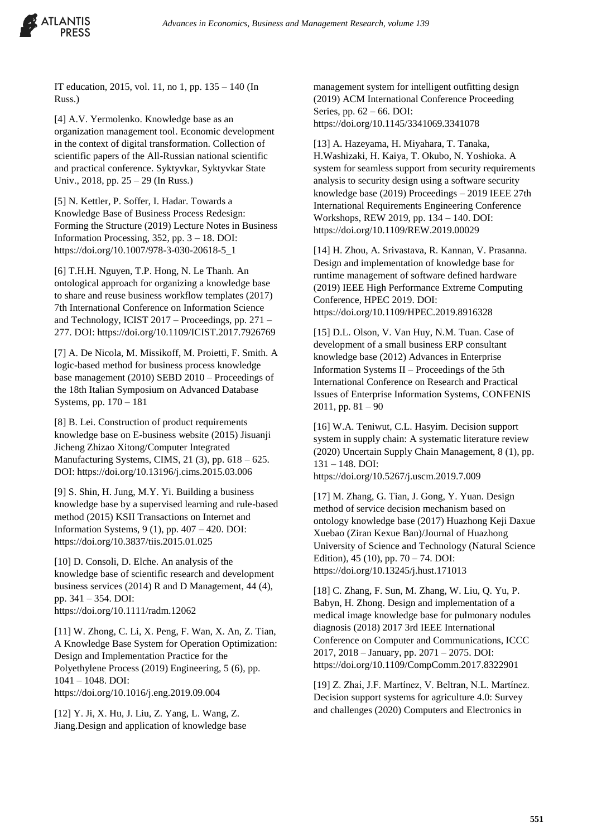

IT education, 2015, vol. 11, no 1, pp. 135 – 140 (In Russ.)

[4] A.V. Yermolenko. Knowledge base as an organization management tool. Economic development in the context of digital transformation. Collection of scientific papers of the All-Russian national scientific and practical conference. Syktyvkar, Syktyvkar State Univ., 2018, pp. 25 – 29 (In Russ.)

[5] N. Kettler, P. Soffer, I. Hadar. Towards a Knowledge Base of Business Process Redesign: Forming the Structure (2019) Lecture Notes in Business Information Processing, 352, pp. 3 – 18. DOI: https://doi.org/10.1007/978-3-030-20618-5\_1

[6] T.H.H. Nguyen, T.P. Hong, N. Le Thanh. An ontological approach for organizing a knowledge base to share and reuse business workflow templates (2017) 7th International Conference on Information Science and Technology, ICIST 2017 – Proceedings, pp. 271 – 277. DOI: https://doi.org/10.1109/ICIST.2017.7926769

[7] A. De Nicola, M. Missikoff, M. Proietti, F. Smith. A logic-based method for business process knowledge base management (2010) SEBD 2010 – Proceedings of the 18th Italian Symposium on Advanced Database Systems, pp. 170 – 181

[8] B. Lei. Construction of product requirements knowledge base on E-business website (2015) Jisuanji Jicheng Zhizao Xitong/Computer Integrated Manufacturing Systems, CIMS, 21 (3), pp. 618 – 625. DOI: https://doi.org/10.13196/j.cims.2015.03.006

[9] S. Shin, H. Jung, M.Y. Yi. Building a business knowledge base by a supervised learning and rule-based method (2015) KSII Transactions on Internet and Information Systems, 9 (1), pp. 407 – 420. DOI: https://doi.org/10.3837/tiis.2015.01.025

[10] D. Consoli, D. Elche. An analysis of the knowledge base of scientific research and development business services (2014) R and D Management, 44 (4), pp. 341 – 354. DOI: https://doi.org/10.1111/radm.12062

[11] W. Zhong, C. Li, X. Peng, F. Wan, X. An, Z. Tian, A Knowledge Base System for Operation Optimization: Design and Implementation Practice for the Polyethylene Process (2019) Engineering, 5 (6), pp. 1041 – 1048. DOI: https://doi.org/10.1016/j.eng.2019.09.004

[12] Y. Ji, X. Hu, J. Liu, Z. Yang, L. Wang, Z. Jiang.Design and application of knowledge base management system for intelligent outfitting design (2019) ACM International Conference Proceeding Series, pp. 62 – 66. DOI: https://doi.org/10.1145/3341069.3341078

[13] A. Hazeyama, H. Miyahara, T. Tanaka, H.Washizaki, H. Kaiya, T. Okubo, N. Yoshioka. A system for seamless support from security requirements analysis to security design using a software security knowledge base (2019) Proceedings – 2019 IEEE 27th International Requirements Engineering Conference Workshops, REW 2019, pp. 134 – 140. DOI: https://doi.org/10.1109/REW.2019.00029

[14] H. Zhou, A. Srivastava, R. Kannan, V. Prasanna. Design and implementation of knowledge base for runtime management of software defined hardware (2019) IEEE High Performance Extreme Computing Conference, HPEC 2019. DOI: https://doi.org/10.1109/HPEC.2019.8916328

[15] D.L. Olson, V. Van Huy, N.M. Tuan. Case of development of a small business ERP consultant knowledge base (2012) Advances in Enterprise Information Systems II – Proceedings of the 5th International Conference on Research and Practical Issues of Enterprise Information Systems, CONFENIS  $2011$ , pp.  $81 - 90$ 

[16] W.A. Teniwut, C.L. Hasyim. Decision support system in supply chain: A systematic literature review (2020) Uncertain Supply Chain Management, 8 (1), pp. 131 – 148. DOI: https://doi.org/10.5267/j.uscm.2019.7.009

[17] M. Zhang, G. Tian, J. Gong, Y. Yuan. Design method of service decision mechanism based on ontology knowledge base (2017) Huazhong Keji Daxue Xuebao (Ziran Kexue Ban)/Journal of Huazhong University of Science and Technology (Natural Science Edition), 45 (10), pp. 70 – 74. DOI: https://doi.org/10.13245/j.hust.171013

[18] C. Zhang, F. Sun, M. Zhang, W. Liu, Q. Yu, P. Babyn, H. Zhong. Design and implementation of a medical image knowledge base for pulmonary nodules diagnosis (2018) 2017 3rd IEEE International Conference on Computer and Communications, ICCC 2017, 2018 – January, pp. 2071 – 2075. DOI: https://doi.org/10.1109/CompComm.2017.8322901

[19] Z. Zhai, J.F. Martínez, V. Beltran, N.L. Martínez. Decision support systems for agriculture 4.0: Survey and challenges (2020) Computers and Electronics in